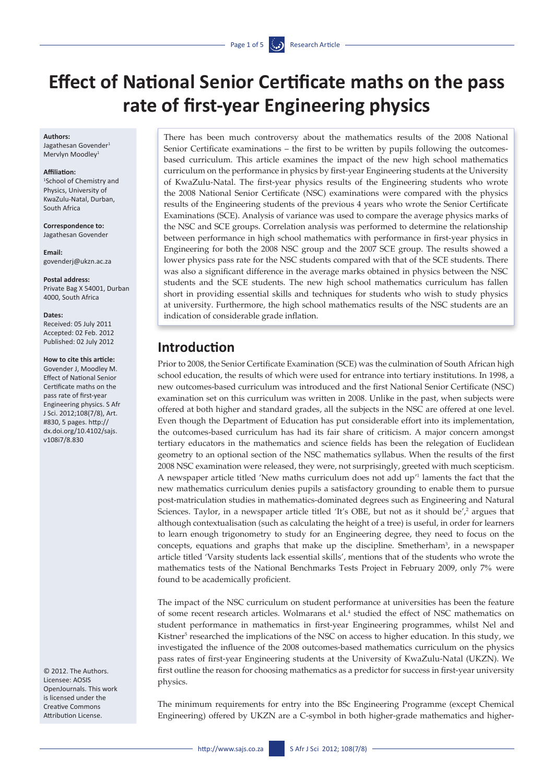# **Effect of National Senior Certificate maths on the pass rate of first-year Engineering physics**

#### **Authors:**

Jagathesan Govender<sup>1</sup> Mervlyn Moodley1

#### **Affiliation:**

1 School of Chemistry and Physics, University of KwaZulu-Natal, Durban, South Africa

#### **Correspondence to:**  Jagathesan Govender

**Email:**  govenderj@ukzn.ac.za

**Postal address:**  Private Bag X 54001, Durban 4000, South Africa

#### **Dates:**

Received: 05 July 2011 Accepted: 02 Feb. 2012 Published: 02 July 2012

#### **How to cite this article:**

Govender J, Moodley M. Effect of National Senior Certificate maths on the pass rate of first-year Engineering physics. S Afr J Sci. 2012;108(7/8), Art. #830, 5 pages. [http://](http://dx.doi.org/10.4102/sajs.v108i5/6.) [dx.doi.org/10.4102/sajs.](http://dx.doi.org/10.4102/sajs.v108i5/6.) [v108i7/8.8](http://dx.doi.org/10.4102/sajs.v108i5/6.)30

© 2012. The Authors. Licensee: AOSIS OpenJournals. This work is licensed under the Creative Commons Attribution License.

There has been much controversy about the mathematics results of the 2008 National Senior Certificate examinations – the first to be written by pupils following the outcomesbased curriculum. This article examines the impact of the new high school mathematics curriculum on the performance in physics by first-year Engineering students at the University of KwaZulu-Natal. The first-year physics results of the Engineering students who wrote the 2008 National Senior Certificate (NSC) examinations were compared with the physics results of the Engineering students of the previous 4 years who wrote the Senior Certificate Examinations (SCE). Analysis of variance was used to compare the average physics marks of the NSC and SCE groups. Correlation analysis was performed to determine the relationship between performance in high school mathematics with performance in first-year physics in Engineering for both the 2008 NSC group and the 2007 SCE group. The results showed a lower physics pass rate for the NSC students compared with that of the SCE students. There was also a significant difference in the average marks obtained in physics between the NSC students and the SCE students. The new high school mathematics curriculum has fallen short in providing essential skills and techniques for students who wish to study physics at university. Furthermore, the high school mathematics results of the NSC students are an indication of considerable grade inflation.

# **Introduction**

Prior to 2008, the Senior Certificate Examination (SCE) was the culmination of South African high school education, the results of which were used for entrance into tertiary institutions. In 1998, a new outcomes-based curriculum was introduced and the first National Senior Certificate (NSC) examination set on this curriculum was written in 2008. Unlike in the past, when subjects were offered at both higher and standard grades, all the subjects in the NSC are offered at one level. Even though the Department of Education has put considerable effort into its implementation, the outcomes-based curriculum has had its fair share of criticism. A major concern amongst tertiary educators in the mathematics and science fields has been the relegation of Euclidean geometry to an optional section of the NSC mathematics syllabus. When the results of the first 2008 NSC examination were released, they were, not surprisingly, greeted with much scepticism. A newspaper article titled 'New maths curriculum does not add  $up<sup>1</sup>$  laments the fact that the new mathematics curriculum denies pupils a satisfactory grounding to enable them to pursue post-matriculation studies in mathematics-dominated degrees such as Engineering and Natural Sciences. Taylor, in a newspaper article titled 'It's OBE, but not as it should be',<sup>2</sup> argues that although contextualisation (such as calculating the height of a tree) is useful, in order for learners to learn enough trigonometry to study for an Engineering degree, they need to focus on the concepts, equations and graphs that make up the discipline. Smetherham<sup>3</sup>, in a newspaper article titled 'Varsity students lack essential skills', mentions that of the students who wrote the mathematics tests of the National Benchmarks Tests Project in February 2009, only 7% were found to be academically proficient.

The impact of the NSC curriculum on student performance at universities has been the feature of some recent research articles. Wolmarans et al.<sup>4</sup> studied the effect of NSC mathematics on student performance in mathematics in first-year Engineering programmes, whilst Nel and Kistner<sup>5</sup> researched the implications of the NSC on access to higher education. In this study, we investigated the influence of the 2008 outcomes-based mathematics curriculum on the physics pass rates of first-year Engineering students at the University of KwaZulu-Natal (UKZN). We first outline the reason for choosing mathematics as a predictor for success in first-year university physics.

The minimum requirements for entry into the BSc Engineering Programme (except Chemical Engineering) offered by UKZN are a C-symbol in both higher-grade mathematics and higher-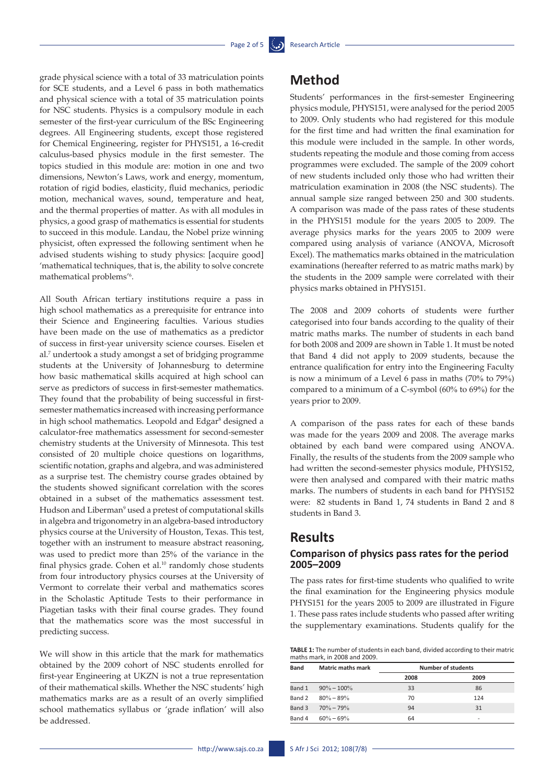grade physical science with a total of 33 matriculation points for SCE students, and a Level 6 pass in both mathematics and physical science with a total of 35 matriculation points for NSC students. Physics is a compulsory module in each semester of the first-year curriculum of the BSc Engineering degrees. All Engineering students, except those registered for Chemical Engineering, register for PHYS151, a 16-credit calculus-based physics module in the first semester. The topics studied in this module are: motion in one and two dimensions, Newton's Laws, work and energy, momentum, rotation of rigid bodies, elasticity, fluid mechanics, periodic motion, mechanical waves, sound, temperature and heat, and the thermal properties of matter. As with all modules in physics, a good grasp of mathematics is essential for students to succeed in this module. Landau, the Nobel prize winning physicist, often expressed the following sentiment when he advised students wishing to study physics: [acquire good] 'mathematical techniques, that is, the ability to solve concrete mathematical problems'6 .

All South African tertiary institutions require a pass in high school mathematics as a prerequisite for entrance into their Science and Engineering faculties. Various studies have been made on the use of mathematics as a predictor of success in first-year university science courses. Eiselen et al.7 undertook a study amongst a set of bridging programme students at the University of Johannesburg to determine how basic mathematical skills acquired at high school can serve as predictors of success in first-semester mathematics. They found that the probability of being successful in firstsemester mathematics increased with increasing performance in high school mathematics. Leopold and Edgar<sup>8</sup> designed a calculator-free mathematics assessment for second-semester chemistry students at the University of Minnesota. This test consisted of 20 multiple choice questions on logarithms, scientific notation, graphs and algebra, and was administered as a surprise test. The chemistry course grades obtained by the students showed significant correlation with the scores obtained in a subset of the mathematics assessment test. Hudson and Liberman<sup>9</sup> used a pretest of computational skills in algebra and trigonometry in an algebra-based introductory physics course at the University of Houston, Texas. This test, together with an instrument to measure abstract reasoning, was used to predict more than 25% of the variance in the final physics grade. Cohen et al.<sup>10</sup> randomly chose students from four introductory physics courses at the University of Vermont to correlate their verbal and mathematics scores in the Scholastic Aptitude Tests to their performance in Piagetian tasks with their final course grades. They found that the mathematics score was the most successful in predicting success.

We will show in this article that the mark for mathematics obtained by the 2009 cohort of NSC students enrolled for first-year Engineering at UKZN is not a true representation of their mathematical skills. Whether the NSC students' high mathematics marks are as a result of an overly simplified school mathematics syllabus or 'grade inflation' will also be addressed.

## **Method**

Students' performances in the first-semester Engineering physics module, PHYS151, were analysed for the period 2005 to 2009. Only students who had registered for this module for the first time and had written the final examination for this module were included in the sample. In other words, students repeating the module and those coming from access programmes were excluded. The sample of the 2009 cohort of new students included only those who had written their matriculation examination in 2008 (the NSC students). The annual sample size ranged between 250 and 300 students. A comparison was made of the pass rates of these students in the PHYS151 module for the years 2005 to 2009. The average physics marks for the years 2005 to 2009 were compared using analysis of variance (ANOVA, Microsoft Excel). The mathematics marks obtained in the matriculation examinations (hereafter referred to as matric maths mark) by the students in the 2009 sample were correlated with their physics marks obtained in PHYS151.

The 2008 and 2009 cohorts of students were further categorised into four bands according to the quality of their matric maths marks. The number of students in each band for both 2008 and 2009 are shown in Table 1. It must be noted that Band 4 did not apply to 2009 students, because the entrance qualification for entry into the Engineering Faculty is now a minimum of a Level 6 pass in maths (70% to 79%) compared to a minimum of a C-symbol (60% to 69%) for the years prior to 2009.

A comparison of the pass rates for each of these bands was made for the years 2009 and 2008. The average marks obtained by each band were compared using ANOVA. Finally, the results of the students from the 2009 sample who had written the second-semester physics module, PHYS152, were then analysed and compared with their matric maths marks. The numbers of students in each band for PHYS152 were: 82 students in Band 1, 74 students in Band 2 and 8 students in Band 3.

### **Results**

### **Comparison of physics pass rates for the period 2005–2009**

The pass rates for first-time students who qualified to write the final examination for the Engineering physics module PHYS151 for the years 2005 to 2009 are illustrated in Figure 1. These pass rates include students who passed after writing the supplementary examinations. Students qualify for the

**TABLE 1:** The number of students in each band, divided according to their matric maths mark, in 2008 and 2009.

| Band   | <b>Matric maths mark</b> | <b>Number of students</b> |                          |  |
|--------|--------------------------|---------------------------|--------------------------|--|
|        |                          | 2008                      | 2009                     |  |
| Band 1 | $90\% - 100\%$           | 33                        | 86                       |  |
| Band 2 | $80\% - 89\%$            | 70                        | 124                      |  |
| Band 3 | $70\% - 79\%$            | 94                        | 31                       |  |
| Band 4 | $60\% - 69\%$            | 64                        | $\overline{\phantom{0}}$ |  |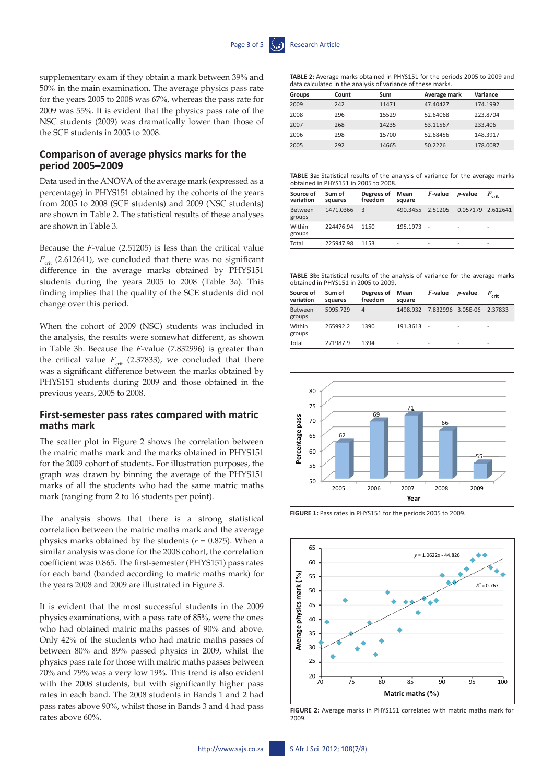supplementary exam if they obtain a mark between 39% and 50% in the main examination. The average physics pass rate for the years 2005 to 2008 was 67%, whereas the pass rate for 2009 was 55%. It is evident that the physics pass rate of the NSC students (2009) was dramatically lower than those of the SCE students in 2005 to 2008.

### **Comparison of average physics marks for the period 2005–2009**

Data used in the ANOVA of the average mark (expressed as a percentage) in PHYS151 obtained by the cohorts of the years from 2005 to 2008 (SCE students) and 2009 (NSC students) are shown in Table 2. The statistical results of these analyses are shown in Table 3.

Because the *F*-value (2.51205) is less than the critical value  $F_{\text{crit}}$  (2.612641), we concluded that there was no significant difference in the average marks obtained by PHYS151 students during the years 2005 to 2008 (Table 3a). This finding implies that the quality of the SCE students did not change over this period.

When the cohort of 2009 (NSC) students was included in the analysis, the results were somewhat different, as shown in Table 3b. Because the *F*-value (7.832996) is greater than the critical value  $F_{\text{crit}}$  (2.37833), we concluded that there was a significant difference between the marks obtained by PHYS151 students during 2009 and those obtained in the previous years, 2005 to 2008.

### **First-semester pass rates compared with matric maths mark**

The scatter plot in Figure 2 shows the correlation between the matric maths mark and the marks obtained in PHYS151 for the 2009 cohort of students. For illustration purposes, the graph was drawn by binning the average of the PHYS151 marks of all the students who had the same matric maths mark (ranging from 2 to 16 students per point).

The analysis shows that there is a strong statistical correlation between the matric maths mark and the average physics marks obtained by the students  $(r = 0.875)$ . When a similar analysis was done for the 2008 cohort, the correlation coefficient was 0.865. The first-semester (PHYS151) pass rates for each band (banded according to matric maths mark) for the years 2008 and 2009 are illustrated in Figure 3.

It is evident that the most successful students in the 2009 physics examinations, with a pass rate of 85%, were the ones who had obtained matric maths passes of 90% and above. Only 42% of the students who had matric maths passes of between 80% and 89% passed physics in 2009, whilst the physics pass rate for those with matric maths passes between 70% and 79% was a very low 19%. This trend is also evident with the 2008 students, but with significantly higher pass rates in each band. The 2008 students in Bands 1 and 2 had pass rates above 90%, whilst those in Bands 3 and 4 had pass rates above 60%.

**TABLE 2:** Average marks obtained in PHYS151 for the periods 2005 to 2009 and data calculated in the analysis of variance of these marks.

| Groups | Count | Sum   | Average mark | Variance |
|--------|-------|-------|--------------|----------|
| 2009   | 242   | 11471 | 47.40427     | 174.1992 |
| 2008   | 296   | 15529 | 52.64068     | 223,8704 |
| 2007   | 268   | 14235 | 53.11567     | 233.406  |
| 2006   | 298   | 15700 | 52.68456     | 148.3917 |
| 2005   | 292   | 14665 | 50.2226      | 178.0087 |

**TABLE 3a:** Statistical results of the analysis of variance for the average marks obtained in PHYS151 in 2005 to 2008.

| Source of<br>variation | Sum of<br>squares | Degrees of<br>freedom | Mean<br>square   | F-value                  | $p$ -value               | $F_{\text{crit}}$        |
|------------------------|-------------------|-----------------------|------------------|--------------------------|--------------------------|--------------------------|
| Between<br>groups      | 1471.0366         | 3                     | 490.3455 2.51205 |                          | 0.057179 2.612641        |                          |
| Within<br>groups       | 224476.94         | 1150                  | 195.1973         | $\sim$                   |                          |                          |
| Total                  | 225947.98         | 1153                  | -                | $\overline{\phantom{a}}$ | $\overline{\phantom{0}}$ | $\overline{\phantom{0}}$ |

**TABLE 3b:** Statistical results of the analysis of variance for the average marks obtained in PHYS151 in 2005 to 2009.

| Source of<br>variation | Sum of<br>squares | Degrees of<br>freedom | Mean<br>square | F-value | <i>p</i> -value            | $F_{\rm crit}$ |
|------------------------|-------------------|-----------------------|----------------|---------|----------------------------|----------------|
| Between<br>groups      | 5995.729          | $\overline{4}$        |                |         | 1498.932 7.832996 3.05E-06 | 2.37833        |
| Within<br>groups       | 265992.2          | 1390                  | 191.3613       | $\sim$  |                            |                |
| Total                  | 271987.9          | 1394                  |                | -       |                            |                |





**FIGURE 2:** Average marks in PHYS151 correlated with matric maths mark for 2009.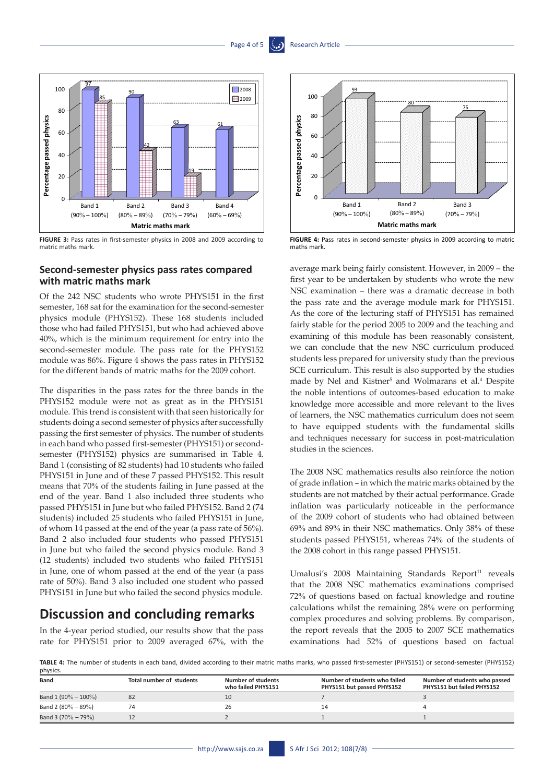Page 4 of 5



**FIGURE 3:** Pass rates in first-semester physics in 2008 and 2009 according to matric maths mark.

### **Second-semester physics pass rates compared with matric maths mark**

Of the 242 NSC students who wrote PHYS151 in the first semester, 168 sat for the examination for the second-semester physics module (PHYS152). These 168 students included those who had failed PHYS151, but who had achieved above 40%, which is the minimum requirement for entry into the second-semester module. The pass rate for the PHYS152 module was 86%. Figure 4 shows the pass rates in PHYS152 for the different bands of matric maths for the 2009 cohort.

The disparities in the pass rates for the three bands in the PHYS152 module were not as great as in the PHYS151 module. This trend is consistent with that seen historically for students doing a second semester of physics after successfully passing the first semester of physics. The number of students in each band who passed first-semester (PHYS151) or secondsemester (PHYS152) physics are summarised in Table 4. Band 1 (consisting of 82 students) had 10 students who failed PHYS151 in June and of these 7 passed PHYS152. This result means that 70% of the students failing in June passed at the end of the year. Band 1 also included three students who passed PHYS151 in June but who failed PHYS152. Band 2 (74 students) included 25 students who failed PHYS151 in June, of whom 14 passed at the end of the year (a pass rate of 56%). Band 2 also included four students who passed PHYS151 in June but who failed the second physics module. Band 3 (12 students) included two students who failed PHYS151 in June, one of whom passed at the end of the year (a pass rate of 50%). Band 3 also included one student who passed PHYS151 in June but who failed the second physics module.

# **Discussion and concluding remarks**

In the 4-year period studied, our results show that the pass rate for PHYS151 prior to 2009 averaged 67%, with the



**FIGURE 4:** Pass rates in second-semester physics in 2009 according to matric maths mark.

average mark being fairly consistent. However, in 2009 – the first year to be undertaken by students who wrote the new NSC examination – there was a dramatic decrease in both the pass rate and the average module mark for PHYS151. As the core of the lecturing staff of PHYS151 has remained fairly stable for the period 2005 to 2009 and the teaching and examining of this module has been reasonably consistent, we can conclude that the new NSC curriculum produced students less prepared for university study than the previous SCE curriculum. This result is also supported by the studies made by Nel and Kistner<sup>5</sup> and Wolmarans et al.<sup>4</sup> Despite the noble intentions of outcomes-based education to make knowledge more accessible and more relevant to the lives of learners, the NSC mathematics curriculum does not seem to have equipped students with the fundamental skills and techniques necessary for success in post-matriculation studies in the sciences.

The 2008 NSC mathematics results also reinforce the notion of grade inflation – in which the matric marks obtained by the students are not matched by their actual performance. Grade inflation was particularly noticeable in the performance of the 2009 cohort of students who had obtained between 69% and 89% in their NSC mathematics. Only 38% of these students passed PHYS151, whereas 74% of the students of the 2008 cohort in this range passed PHYS151.

Umalusi's 2008 Maintaining Standards Report<sup>11</sup> reveals that the 2008 NSC mathematics examinations comprised 72% of questions based on factual knowledge and routine calculations whilst the remaining 28% were on performing complex procedures and solving problems. By comparison, the report reveals that the 2005 to 2007 SCE mathematics examinations had 52% of questions based on factual

**TABLE 4:** The number of students in each band, divided according to their matric maths marks, who passed first-semester (PHYS151) or second-semester (PHYS152) physics.

| Band                | Total number of students | Number of students<br>who failed PHYS151 | Number of students who failed<br>PHYS151 but passed PHYS152 | Number of students who passed<br>PHYS151 but failed PHYS152 |
|---------------------|--------------------------|------------------------------------------|-------------------------------------------------------------|-------------------------------------------------------------|
| Band 1 (90% – 100%) | 82                       |                                          |                                                             |                                                             |
| Band 2 (80% – 89%)  |                          | 26                                       |                                                             |                                                             |
| Band 3 (70% – 79%)  |                          |                                          |                                                             |                                                             |